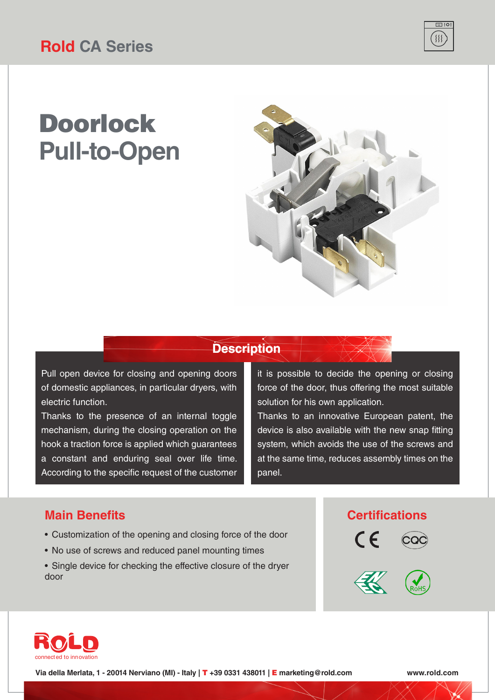# Doorlock **Pull-to-Open**



 $\overline{\Box}$  :0:  $\{$ 

#### **Description**

Pull open device for closing and opening doors of domestic appliances, in particular dryers, with electric function.

Thanks to the presence of an internal toggle mechanism, during the closing operation on the hook a traction force is applied which guarantees a constant and enduring seal over life time. According to the specific request of the customer

it is possible to decide the opening or closing force of the door, thus offering the most suitable solution for his own application.

Thanks to an innovative European patent, the device is also available with the new snap fitting system, which avoids the use of the screws and at the same time, reduces assembly times on the panel.

#### **Main Benefits**

- Customization of the opening and closing force of the door
- No use of screws and reduced panel mounting times
- Single device for checking the effective closure of the dryer door

#### **Certifications**